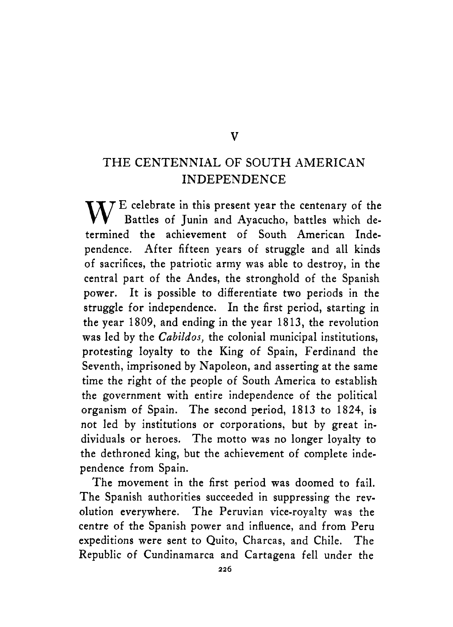#### **V**

#### THE CENTENNIAL OF SOUTH AMERICAN INDEPENDENCE

 $\mathbf{W}$  E celebrate in this present year the centenary of the Battles of Junin and Ayacucho, battles which determined the achievement of South American Independence. After fifteen years **of** struggle and all kinds of sacrifices, the patriotic army was able to destroy, in the central part of the Andes, the stronghold of the Spanish power. It is possible to differentiate two periods in the struggle for independence. In the first period, starting in the year 1809, and ending in the year 1813, the revolution was led by the *Cabildos,* the colonial municipal institutions, protesting loyalty to the King **of** Spain, Ferdinand the Seventh, imprisoned by Napoleon, and asserting at the same time the right of the people of South America to establish the government with entire independence of the political organism of Spain. The second period, 1813 to 1824, is not led by institutions or corporations, but by great individuals or heroes. The motto was no longer loyalty to the dethroned king, but the achievement of complete independence from Spain.

The movement in the first period was doomed to fail. The Spanish authorities succeeded in suppressing the revolution everywhere. The Peruvian vice-royalty was the centre of the Spanish power and influence, and from Peru expeditions were sent to Quito, Charcas, and Chile. The Republic of Cundinamarca and Cartagena fell under the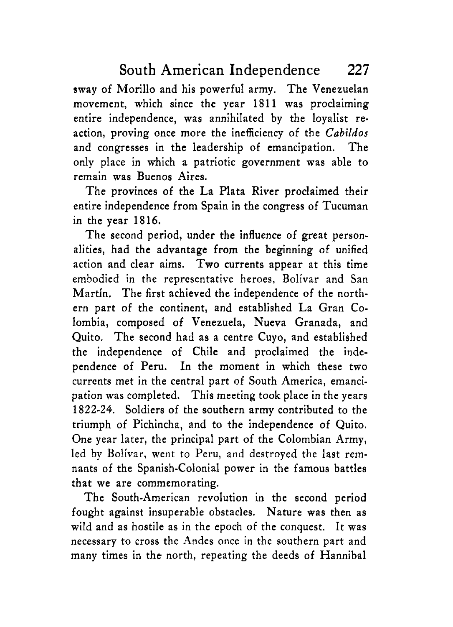sway of Morillo and his powerful army. The Venezuelan movement, which since the year 1811 was proclaiming entire independence, was annihilated by the loyalist reaction, proving once more the inefficiency of the *Cabildos*  and congresses in the leadership of emancipation. The only place in which a patriotic government was able to remain was Buenos Aires.

The provinces of the La Plata River proclaimed their entire independence from Spain in the congress of Tucuman in the year 1816.

The second period, under the influence of great personalities, had the advantage from the beginning of unified action and clear aims. Two currents appear at this time embodied in the representative heroes, Bolivar and San Martin. The first achieved the independence of the northern part of the continent, and established La Gran Colombia, composed of Venezuela, Nueva Granada, and Quito. The second had as a centre Cuyo, and established the independence of Chile and proclaimed the independence of Peru. In the moment in which these two currents met in the central part of South America, emancipation was completed. This meeting took place in the years 1822-24. Soldiers of the southern army contributed to the triumph of Pichincha, and to the independence of Quito. One year later, the principal part of the Colombian Army, led by Bolivar, went to Peru, and destroyed the last remnants of the Spanish-Colonial power in the famous battles that we are commemorating.

The South-American revolution in the second period fought against insuperable obstacles. Nature was then as wild and as hostile as in the epoch of the conquest. It was necessary to cross the Andes once in the southern part and many times in the north, repeating the deeds of Hannibal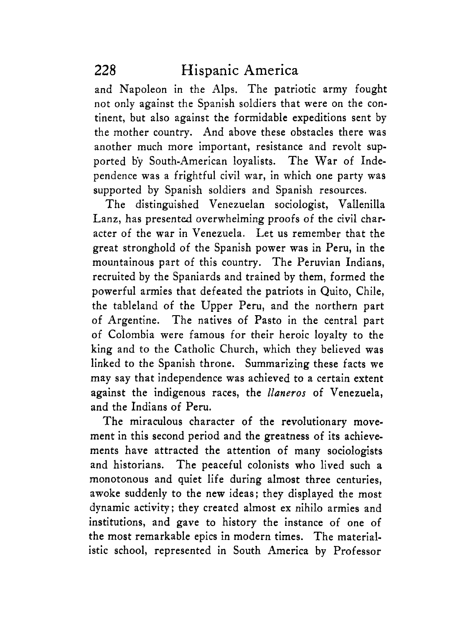and Napoleon in the Alps. The patriotic army fought not only against the Spanish soldiers that were on the continent, but also against the formidable expeditions sent by the mother country. And above these obstacles there was another much more important, resistance and revolt supported by South-American loyalists. The War of Independence was a frightful civil war, in which one party was supported by Spanish soldiers and Spanish resources.

The distinguished Venezuelan sociologist, Vallenilla Lanz, has presented overwhelming proofs of the civil character of the war in Venezuela. Let us remember that the great stronghold of the Spanish power was in Peru, in the mountainous part of this country. The Peruvian Indians, recruited by the Spaniards and trained by them, formed the powerful armies that defeated the patriots in Quito, Chile, the tableland of the Upper Peru, and the northern part of Argentine. The natives of Pasto in the central part of Colombia were famous for their heroic loyalty to the king and to the Catholic Church, which they believed was linked to the Spanish throne. Summarizing these facts we may say that independence was achieved to a certain extent against the indigenous races, the *llaneros* of Venezuela, and the Indians of Peru.

The miraculous character of the revolutionary movement in this second period and the greatness of its achievements have attracted the attention of many sociologists and historians. The peaceful colonists who lived such a monotonous and quiet life during almost three centuries, awoke suddenly to the new ideas; they displayed the most dynamic activity; they created almost ex nihilo armies and institutions, and gave to history the instance of one of the most remarkable epics in modern times. The materialistic school, represented in South America by Professor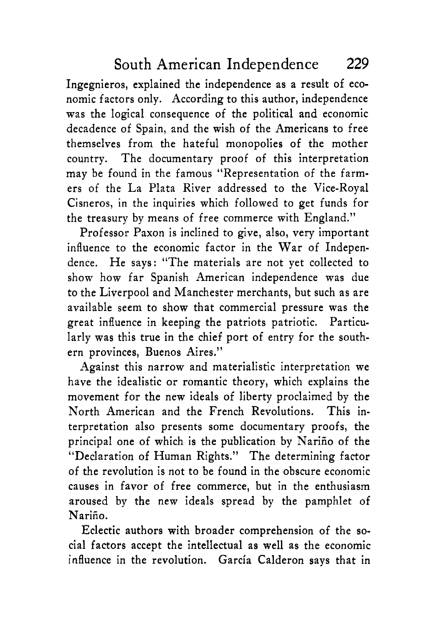Ingegnieros, explained the independence as a result of economic factors only. According to this author, independence was the logical consequence of the political and economic decadence of Spain, and the wish of the Americans to free themselves from the hateful monopolies of the mother country. The documentary proof of this interpretation may be found in the famous "Representation of the farmers of the La Plata River addressed to the Vice-Royal Cisneros, in the inquiries which followed to get funds for the treasury by means of free commerce with England."

Professor Paxon is inclined to give, also, very important influence to the economic factor in the War of Independence. He says: "The materials are not yet collected to show how far Spanish American independence was due to the Liverpool and Manchester merchants, but such as are available seem to show that commercial pressure was the great influence in keeping the patriots patriotic. Particularly was this true in the chief port of entry for the southern provinces, Buenos Aires."

Against this narrow and materialistic interpretation we have the idealistic or romantic theory, which explains the movement for the new ideals of liberty proclaimed by the North American and the French Revolutions. This interpretation also presents some documentary proofs, the principal one of which is the publication by Nariño of the "Declaration of Human Rights." The determining factor of the revolution is not to be found in the obscure economic causes in favor of free commerce, but in the enthusiasm aroused by the new ideals spread by the pamphlet of Nariño.

Eclectic authors with broader comprehension of the social factors accept the intellectual as well as the economic influence in the revolution. Garcia Calderon says that in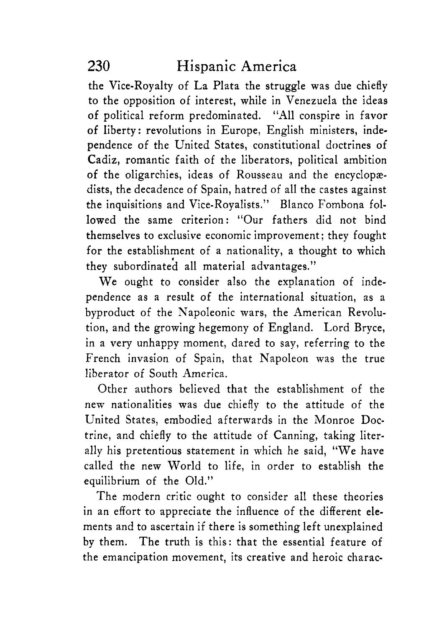the Vice-Royalty of La Plata the struggle was due chiefly to the opposition of interest, while in Venezuela the ideas of political reform predominated. "All conspire in favor of liberty : revolutions in Europe, English ministers, independence of the United States, constitutional doctrines of Cadiz, romantic faith of the liberators, political ambition of the oligarchies, ideas of Rousseau and the encyclopædists, the decadence of Spain, hatred of all the castes against the inquisitions and Vice-Royalists." Blanco Fombona followed the same criterion: "Our fathers did not bind themselves to exclusive economic improvement ; they fought for the establishment of a nationality, a thought to which they subordinated all material advantages."

We ought to consider also the explanation of independence as a result of the international situation, as a byproduct of the Napoleonic wars, the American Revolution, and the growing hegemony of England. Lord Bryce, in a very unhappy moment, dared to say, referring to the French invasion of Spain, that Napoleon was the true liberator of South America.

Other authors believed that the establishment of the new nationalities was due chiefly to the attitude of the United States, embodied afterwards in the Monroe Doctrine, and chiefly to the attitude of Canning, taking literally his pretentious statement in which he said, "We have called the new World to life, in order to establish the equilibrium of the Old."

The modern critic ought to consider all these theories in an effort to appreciate the influence of the different elements and to ascertain if there is something left unexplained by them. The truth is this: that the essential feature of the emancipation movement, its creative and heroic charac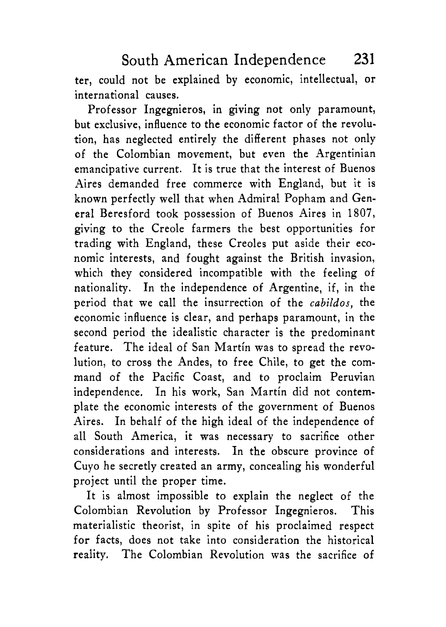ter, could not be explained by economic, intellectual, or international causes.

Professor Ingegnieros, in giving not only paramount, but exclusive, influence to the economic factor of the revolution, has neglected entirely the different phases not only of the Colombian movement, but even the Argentinian emancipative current. It is true that the interest of Buenos Aires demanded free commerce with England, but it is known perfectly well that when Admiral Popham and General Beresford took possession of Buenos Aires in 1807, giving to the Creole farmers the best opportunities for trading with England, these Creoles put aside their economic interests, and fought against the British invasion, which they considered incompatible with the feeling of nationality. In the independence of Argentine, if, in the period that we call the insurrection of the *cabildos,* the economic influence is clear, and perhaps paramount, in the second period the idealistic character is the predominant feature. The ideal of San Martin was to spread the revolution, to cross the Andes, to free Chile, to get the command of the Pacific Coast, and to proclaim Peruvian independence. In his work, San Martin did not contemplate the economic interests of the government of Buenos Aires. In behalf of the high ideal of the independence of all South America, it was necessary to sacrifice other considerations and interests. In the obscure province of Cuyo he secretly created an army, concealing his wonderful project until the proper time.

It is almost impossible to explain the neglect of the Colombian Revolution by Professor Ingegnieros. This materialistic theorist, in spite of his proclaimed respect for facts, does not take into consideration the historical reality. The Colombian Revolution was the sacrifice of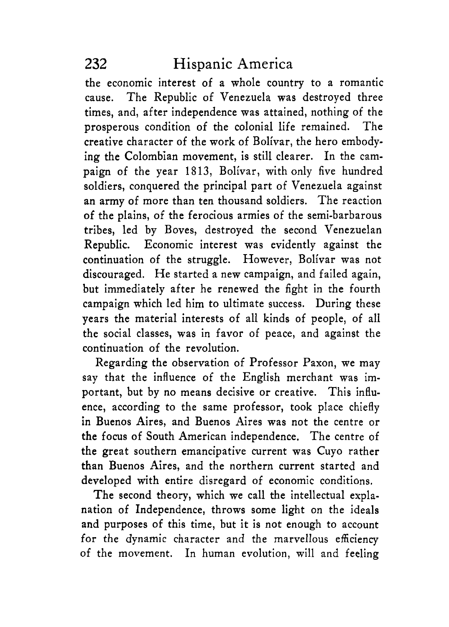the economic interest of a whole country to a romantic cause. The Republic of Venezuela was destroyed three times, and, after independence was attained, nothing of the prosperous condition of the colonial life remained. The creative character of the work of Bolivar, the hero embodying the Colombian movement, is still clearer. In the campaign of the year 1813, Bolivar, with only five hundred soldiers, conquered the principal part of Venezuela against an army of more than ten thousand soldiers. The reaction of the plains, of the ferocious armies of the semi-barbarous tribes, led by Boves, destroyed the second Venezuelan Republic. Economic interest was evidently against the continuation of the struggle. However, Bolivar was not discouraged. He started a new campaign, and failed again, but immediately after he renewed the fight in the fourth campaign which led him to ultimate success. During these years the material interests of all kinds of people, of all the social classes, was in favor of peace, and against the continuation of the revolution.

Regarding the observation of Professor Paxon, we may say that the influence of the English merchant was important, but by no means decisive or creative. This influence, according to the same professor, took place chiefly in Buenos Aires, and Buenos Aires was not the centre or the focus of South American independence. The centre of the great southern emancipative current was Cuyo rather than Buenos Aires, and the northern current started and developed with entire disregard of economic conditions,

The second theory, which we call the intellectual explanation of Independence, throws some light on the ideals and purposes of this time, but it is not enough to account for the dynamic character and the marvellous efficiency of the movement. In human evolution, will and feeling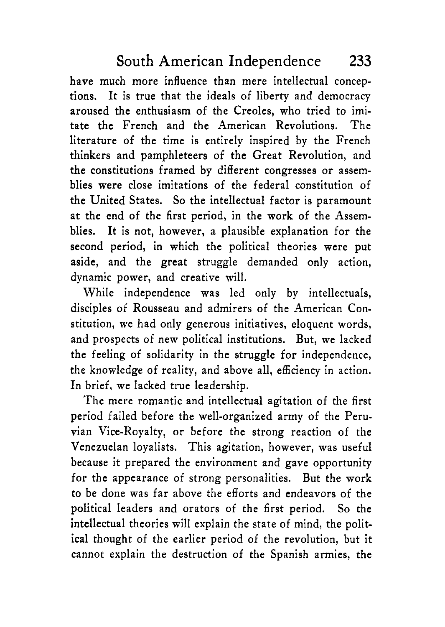have much more influence than mere intellectual conceptions. It is true that the ideals of liberty and democracy aroused the enthusiasm of the Creoles, who tried to imitate the French and the American Revolutions. The literature of the time is entirely inspired by the French thinkers and pamphleteers of the Great Revolution, and the constitutions framed by different congresses or assemblies were close imitations of the federal constitution of the United States. So the intellectual factor is paramount at the end of the first period, in the work of the Assemblies. It is not, however, a plausible explanation for the second period, in which the political theories were put aside, and the great struggle demanded only action, dynamic power, and creative will.

While independence was led only by intellectuals, disciples of Rousseau and admirers of the American Constitution, we had only generous initiatives, eloquent words, and prospects of new political institutions. But, we lacked the feeling of solidarity in the struggle for independence, the knowledge of reality, and above all, efficiency in action. In brief, we lacked true leadership.

The mere romantic and intellectual agitation of the first period failed before the well-organized army of the Peruvian Vice-Royalty, or before the strong reaction of the Venezuelan loyalists. This agitation, however, was useful because it prepared the environment and gave opportunity for the appearance of strong personalities. But the work to be done was far above the efforts and endeavors of the political leaders and orators of the first period. So the intellectual theories will explain the state of mind, the political thought of the earlier period of the revolution, but it cannot explain the destruction of the Spanish armies, the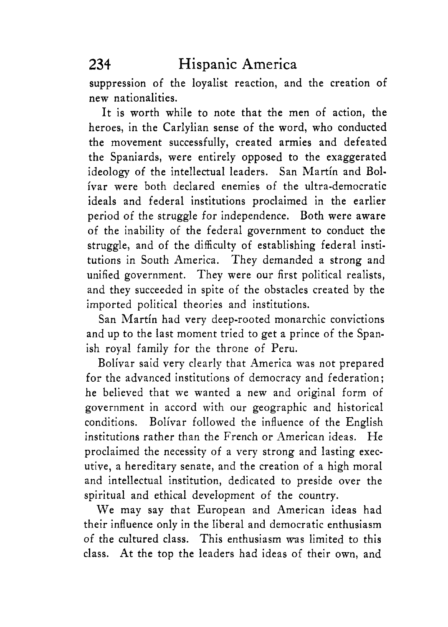suppression of the loyalist reaction, and the creation of new nationalities.

It is worth while to note that the men of action, the heroes, in the Carlylian sense of the word, who conducted the movement successfully, created armies and defeated the Spaniards, were entirely opposed to the exaggerated ideology of the intellectual leaders. San Martin and Bolivar were both declared enemies of the ultra-democratic ideals and federal institutions proclaimed in the earlier period of the struggle for independence. Both were aware of the inability of the federal government to conduct the struggle, and of the difficulty of establishing federal institutions in South America. They demanded a strong and unified government. They were our first political realists, and they succeeded in spite of the obstacles created by the imported political theories and institutions.

San Martin had very deep-rooted monarchic convictions and up to the last moment tried to get a prince of the Spanish royal family for the throne of Peru.

Bolivar said very clearly that America was not prepared for the advanced institutions of democracy and federation; he believed that we wanted a new and original form of government in accord with our geographic and historical conditions. Bolivar followed the influence of the English institutions rather than the French or American ideas. He proclaimed the necessity of a very strong and lasting executive, a hereditary senate, and the creation of a high moral and intellectual institution, dedicated to preside over the spiritual and ethical development of the country.

We may say that European and American ideas had their influence only in the liberal and democratic enthusiasm of the cultured class. This enthusiasm was limited to this class. At the top the leaders had ideas of their own, and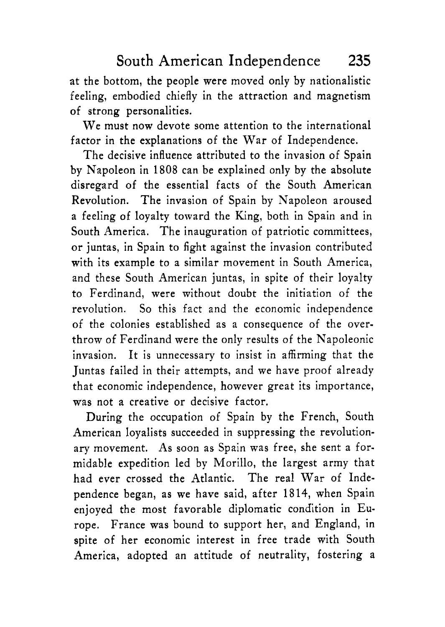at the bottom, the people were moved only by nationalistic feeling, embodied chiefly in the attraction and magnetism of strong personalities.

We must now devote some attention to the international factor in the explanations of the War of Independence.

The decisive influence attributed to the invasion of Spain by Napoleon in 1808 can be explained only by the absolute disregard of the essential facts of the South American Revolution. The invasion of Spain by Napoleon aroused a feeling of loyalty toward the King, both in Spain and in South America. The inauguration of patriotic committees, or juntas, in Spain to fight against the invasion contributed with its example to a similar movement in South America, and these South American juntas, in spite of their loyalty to Ferdinand, were without doubt the initiation of the revolution. So this fact and the economic independence of the colonies established as a consequence of the overthrow of Ferdinand were the only results of the Napoleonic invasion. It is unnecessary to insist in affirming that the Juntas failed in their attempts, and we have proof already that economic independence, however great its importance, was not a creative or decisive factor.

During the occupation of Spain by the French, South American loyalists succeeded in suppressing the revolutionary movement. As soon as Spain was free, she sent a formidable expedition led by Morillo, the largest army that had ever crossed the Atlantic. The real War of Independence began, as we have said, after 1814, when Spain enjoyed the most favorable diplomatic condition in Europe. France was bound to support her, and England, in spite of her economic interest in free trade with South America, adopted an attitude of neutrality, fostering a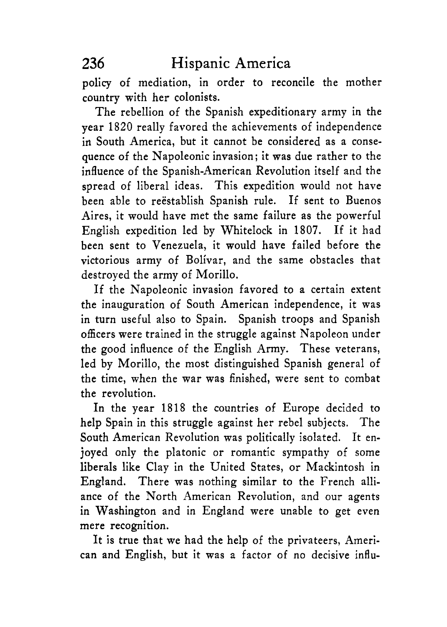policy of mediation, in order to reconcile the mother country with her colonists.

The rebellion of the Spanish expeditionary army in the year 1820 really favored the achievements of independence in South America, but it cannot be considered as a consequence of the Napoleonic invasion; it was due rather to the influence of the Spanish-American Revolution itself and the spread of liberal ideas. This expedition would not have been able to reëstablish Spanish rule. If sent to Buenos Aires, it would have met the same failure as the powerful English expedition led by Whitelock in 1807. If it had been sent to Venezuela, it would have failed before the victorious army of Bolivar, and the same obstacles that destroyed the army of Morillo.

If the Napoleonic invasion favored to a certain extent the inauguration of South American independence, it was in turn useful also to Spain. Spanish troops and Spanish officers were trained in the struggle against Napoleon under the good influence of the English Army. These veterans, led by Morillo, the most distinguished Spanish general of the time, when the war was finished, were sent to combat the revolution.

In the year 1818 the countries of Europe decided to help Spain in this struggle against her rebel subjects. The South American Revolution was politically isolated. It enjoyed only the platonic or romantic sympathy of some liberals like Clay in the United States, or Mackintosh in England. There was nothing similar to the French alliance of the North American Revolution, and our agents in Washington and in England were unable to get even mere recognition.

It is true that we had the help of the privateers, American and English, but it was a factor of no decisive influ-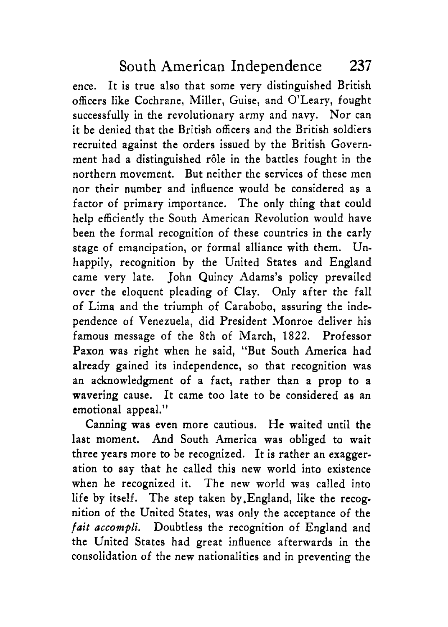ence. It is true also that some very distinguished British officers like Cochrane, Miller, Guise, and O'Leary, fought successfully in the revolutionary army and navy. Nor can it be denied that the British officers and the British soldiers recruited against the orders issued by the British Government had a distinguished rôle in the battles fought in the northern movement. But neither the services of these men nor their number and influence would be considered as a factor of primary importance. The only thing that could help efficiently the South American Revolution would have been the formal recognition of these countries in the early stage of emancipation, or formal alliance with them. Unhappily, recognition by the United States and England came very late. John Quincy Adams's policy prevailed over the eloquent pleading of Clay. Only after the fall of Lima and the triumph of Carabobo, assuring the independence of Venezuela, did President Monroe deliver his famous message of the 8th of March, 1822. Professor Paxon was right when he said, "But South America had already gained its independence, so that recognition was an acknowledgment of a fact, rather than a prop to a wavering cause. It came too late to be considered as an emotional appeal."

Canning was even more cautious. He waited until the last moment. And South America was obliged to wait three years more to be recognized. It is rather an exaggeration to say that he called this new world into existence when he recognized it. The new world was called into life by itself. The step taken by,England, like the recognition of the United States, was only the acceptance of the *fait accompli.* Doubtless the recognition of England and the United States had great influence afterwards in the consolidation of the new nationalities and in preventing the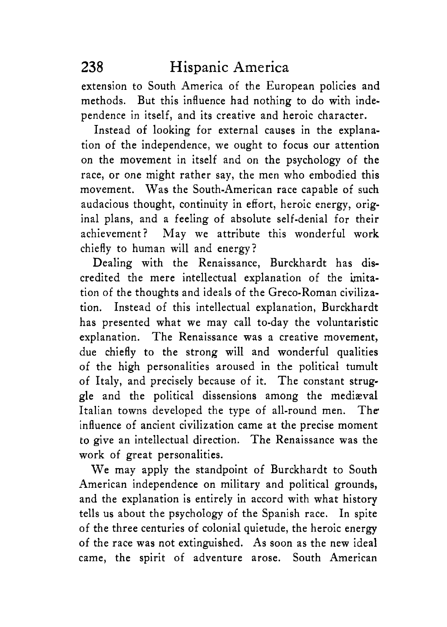extension to South America of the European policies and methods. But this influence had nothing to do with independence in itself, and its creative and heroic character.

Instead of looking for external causes in the explanation of the independence, we ought to focus our attention on the movement in itself and on the psychology of the race, or one might rather say, the men who embodied this movement. Was the South-American race capable of such audacious thought, continuity in effort, heroic energy, original plans, and a feeling of absolute self-denial for their achievement? May we attribute this wonderful work chiefly to human will and energy?

Dealing with the Renaissance, Burckhardt has discredited the mere intellectual explanation of the imitation of the thoughts and ideals of the Greco-Roman civilization. Instead of this intellectual explanation, Burckhardt has presented what we may call to-day the voluntaristic explanation. The Renaissance was a creative movement, due chiefly to the strong will and wonderful qualities of the high personalities aroused in the political tumult of Italy, and precisely because of it. The constant struggle and the political dissensions among the mediaval Italian towns developed the type of all-round men. The influence of ancient civilization came at the precise moment to give an intellectual direction. The Renaissance was the work of great personalities.

We may apply the standpoint of Burckhardt to South American independence on military and political grounds, and the explanation is entirely in accord with what history tells us about the psychology of the Spanish race. In spite of the three centuries of colonial quietude, the heroic energy of the race was not extinguished. **As** soon as the new ideal came, the spirit of adventure arose. South American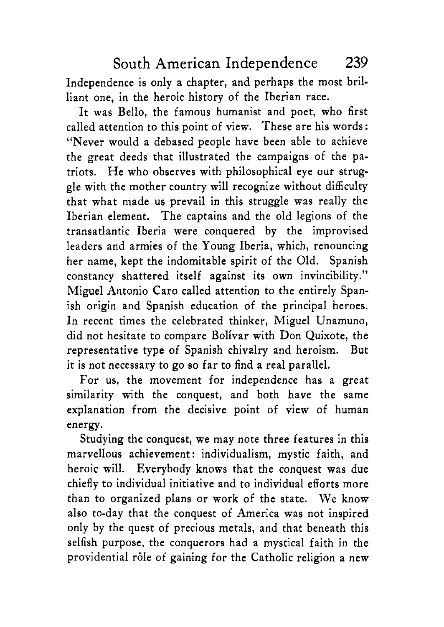Independence is only a chapter, and perhaps the most brilliant one, in the heroic history of the Iberian race.

It was Bello, the famous humanist and poet, who first called attention to this point of view. These are his words : "Never would a debased people have been able to achieve the great deeds that illustrated the campaigns of the patriots. He who observes with philosophical eye our struggle with the mother country will recognize without difficulty that what made us prevail in this struggle was really the Iberian element. The captains and the old legions of the transatlantic Iberia were conquered by the improvised leaders and armies of the Young Iberia, which, renouncing her name, kept the indomitable spirit of the Old. Spanish constancy shattered itself against its own invincibility." Miguel Antonio Car0 called attention to the entirely Spanish origin and Spanish education of the principal heroes. In recent times the celebrated thinker, Miguel Unamuno, did not hesitate to compare Bolivar with Don Quixote, the representative type of Spanish chivalry and heroism. But it is not necessary to go so far to find a real parallel.

For us, the movement for independence has a great similarity with the conquest, and both have the same explanation from the decisive point of view of human energy.

Studying the conquest, we may note three features in this marvellous achievement: individualism, mystic faith, and heroic will. Everybody knows that the conquest was due chiefly to individual initiative and to individual efforts more than to organized plans or work of the state. We know also to-day that the conquest of America was not inspired only by the quest of precious metals, and that beneath this selfish purpose, the conquerors had a mystical faith in the providential rôle of gaining for the Catholic religion a new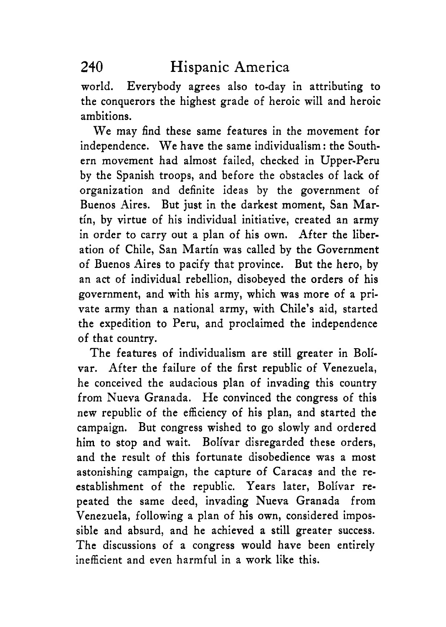world. Everybody agrees also to-day in attributing to the conquerors the highest grade of heroic will and heroic ambitions.

We may find these same features in the movement for independence. We have the same individualism : the Southern movement had almost failed, checked in Upper-Peru by the Spanish troops, and before the obstacles of lack of organization and definite ideas by the government of Buenos Aires. But just in the darkest moment, San Martin, by virtue of his individual initiative, created an army in order to carry out a plan of his own. After the liberation of Chile, San Martin was called by the Government of Buenos Aires to pacify that province. But the hero, by an act of individual rebellion, disobeyed the orders of his government, and with his army, which was more of a private army than a national army, with Chile's aid, started the expedition to Peru, and proclaimed the independence of that country.

The features of individualism are still greater in Bolivar. After the failure of the first republic of Venezuela, he conceived the audacious plan of invading this country from Nueva Granada. He convinced the congress of this new republic of the efficiency of his plan, and started the campaign. But congress wished to go slowly and ordered him to stop and wait. Bolivar disregarded these orders, and the result of this fortunate disobedience was a most astonishing campaign, the capture of Caracas and the reestablishment of the republic. Years later, Bolivar repeated the same deed, invading Nueva Granada from Venezuela, following a plan of his own, considered impossible and absurd, and he achieved **a** still greater success. The discussions of a congress would have been entirely inefficient and even harmful in a work like this.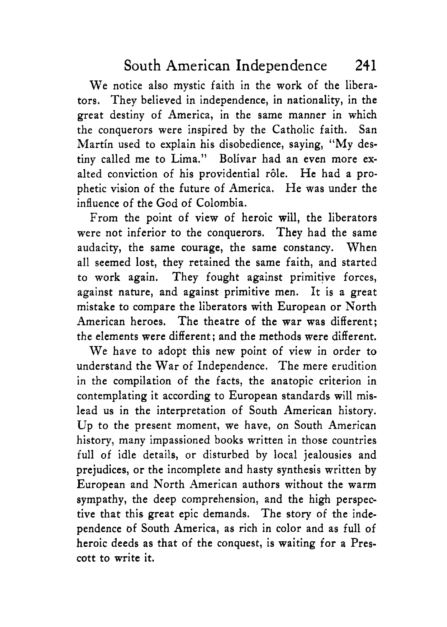We notice also mystic faith in the work of the liberators. They believed in independence, in nationality, in the great destiny of America, in the same manner in which the conquerors were inspired by the Catholic faith. San Martin used to explain his disobedience, saying, "My destiny called me to Lima.'' Bolivar had an even more exalted conviction of his providential rôle. He had a prophetic vision of the future of America. He was under the influence of the God of Colombia.

From the point of view of heroic will, the liberators were not inferior to the conquerors. They had the same audacity, the same courage, the same constancy. When all seemed lost, they retained the same faith, and started to work again. They fought against primitive forces, against nature, and against primitive men. It is a great mistake to compare the liberators with European or North American heroes. The theatre of the war was different; the elements were different ; and the methods were different.

We have to adopt this new point of view in order to understand the War of Independence. The mere erudition in the compilation of the facts, the anatopic criterion in contemplating it according to European standards will mislead us in the interpretation of South American history. **Up** to the present moment, we have, on South American history, many impassioned books written in those countries full of idle details, or disturbed by local jealousies and prejudices, or the incomplete and hasty synthesis written by European and North American authors without the warm sympathy, the deep comprehension, and the high perspective that this great epic demands. The story of the independence of South America, as rich in color and as full of heroic deeds as that of the conquest, is waiting for a Prescott to write it.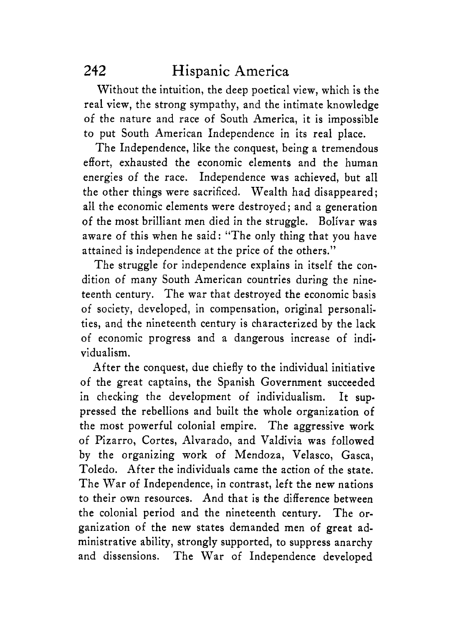# **242** Hispanic America

Without the intuition, the deep poetical view, which is the real view, the strong sympathy, and the intimate knowledge of the nature and race of South America, it is impossible to put South American Independence in its real place.

The Independence, like the conquest, being a tremendous effort, exhausted the economic elements and the human energies of the race. Independence was achieved, but all the other things were sacrificed. Wealth had disappeared; all the economic elements were destroyed; and a generation of the most brilliant men died in the struggle. Bolivar was aware of this when he said: "The only thing that you have attained is independence at the price of the others.''

The struggle for independence explains in itself the condition of many South American countries during the nineteenth century. The war that destroyed the economic basis of society, developed, in compensation, original personalities, and the nineteenth century is characterized by the lack of economic progress and a dangerous increase of individualism.

After the conquest, due chiefly to the individual initiative of the great captains, the Spanish Government succeeded in checking the development of individualism. It suppressed the rebellions and built the whole organization of the most powerful colonial empire. The aggressive work of Pizarro, Cortes, Alvarado, and Valdivia was followed by the organizing work of Mendoza, Velasco, Gasca, Toledo. After the individuals came the action of the state. The War of Independence, in contrast, left the new nations to their own resources. And that is the difference between the colonial period and the nineteenth century. The organization of the new states demanded men of great administrative ability, strongly supported, to suppress anarchy and dissensions. The War of Independence developed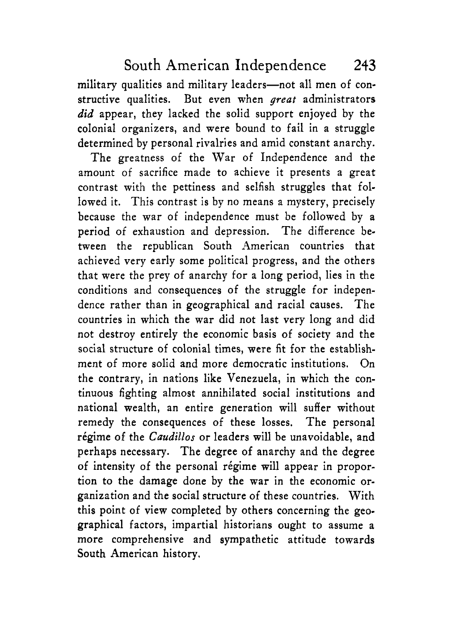military qualities and military leaders-not all men of constructive qualities. But even when *great* administrators *did* appear, they lacked the solid support enjoyed by the colonial organizers, and were bound to fail in a struggle determined by personal rivalries and amid constant anarchy.

The greatness of the War of Independence and the amount of sacrifice made to achieve it presents a great contrast with the pettiness and selfish struggles that followed it. This contrast is by no means a mystery, precisely because the war of independence must be followed by a period of exhaustion and depression. The difference between the republican South American countries that achieved very early some political progress, and the others that were the prey of anarchy for a long period, lies in the conditions and consequences of the struggle for independence rather than in geographical and racial causes. The countries in which the war did not last very long and did not destroy entirely the economic basis of society and the social structure of colonial times, were fit for the establishment of more solid and more democratic institutions. On the contrary, in nations like Venezuela, in which the continuous fighting almost annihilated social institutions and national wealth, an entire generation will suffer without remedy the consequences of these losses. The personal régime of the *Caudillos* or leaders will be unavoidable, and perhaps necessary. The degree of anarchy and the degree of intensity of the personal régime will appear in proportion to the damage done by the war in the economic organization and the social structure of these countries. With this point of view completed by others concerning the geographical factors, impartial historians ought to assume a more comprehensive and sympathetic attitude towards South American history.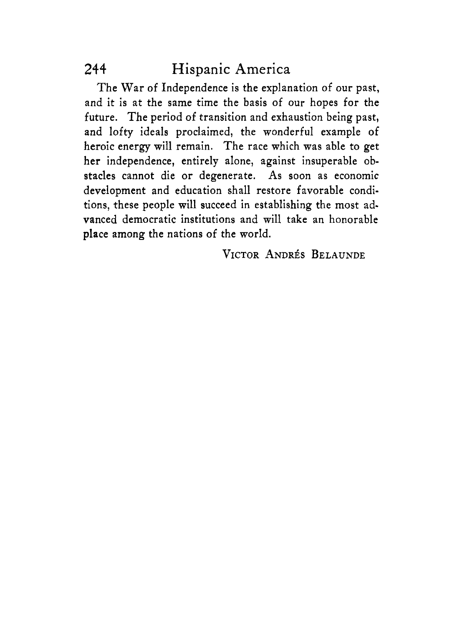# 244 Hispanic America

The War of Independence is the explanation of our past, and it is at the same time the basis of our hopes for the future. The period of transition and exhaustion being past, and lofty ideals proclaimed, the wonderful example of heroic energy will remain. The race which was able to get her independence, entirely alone, against insuperable obstacles cannot die or degenerate. **As** soon as economic development and education shall restore favorable conditions, these people will succeed in establishing the most advanced democratic institutions and will take an honorable place among the nations of the world.

**VICTOR ANDRÉS BELAUNDE**